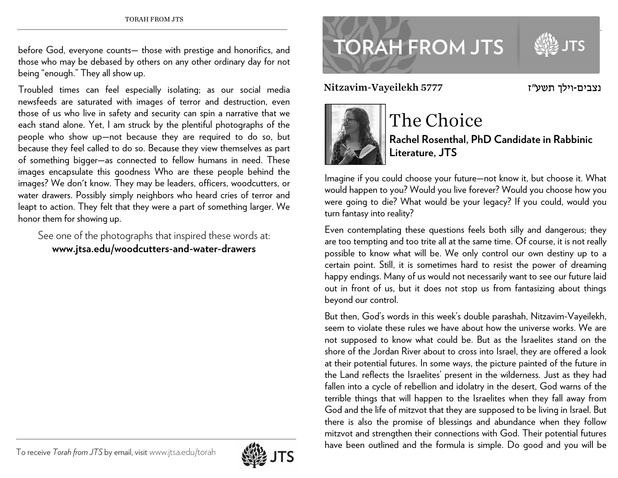before God, everyone counts— those with prestige and honorifics, and those who may be debased by others on any other ordinary day for not being "enough." They all show up.

Troubled times can feel especially isolating; as our social media newsfeeds are saturated with images of terror and destruction, even those of us who live in safety and security can spin a narrative that we each stand alone. Yet, I am struck by the plentiful photographs of the people who show up—not because they are required to do so, but because they feel called to do so. Because they view themselves as part of something bigger—as connected to fellow humans in need. These images encapsulate this goodness Who are these people behind the images? We don't know. They may be leaders, officers, woodcutters, or water drawers. Possibly simply neighbors who heard cries of terror and leapt to action. They felt that they were a part of something larger. We honor them for showing up.

See one of the photographs that inspired these words at: **www.jtsa.edu/woodcutters-and-water-drawers**



נצבים-וילך תשע"ז 15777 Nitzavim-Vayeilekh



## The Choice

**Rachel Rosenthal, PhD Candidate in Rabbinic Literature, JTS** 

Imagine if you could choose your future—not know it, but choose it. What would happen to you? Would you live forever? Would you choose how you were going to die? What would be your legacy? If you could, would you turn fantasy into reality?

Even contemplating these questions feels both silly and dangerous; they are too tempting and too trite all at the same time. Of course, it is not really possible to know what will be. We only control our own destiny up to a certain point. Still, it is sometimes hard to resist the power of dreaming happy endings. Many of us would not necessarily want to see our future laid out in front of us, but it does not stop us from fantasizing about things beyond our control.

But then, God's words in this week's double parashah, Nitzavim-Vayeilekh, seem to violate these rules we have about how the universe works. We are not supposed to know what could be. But as the Israelites stand on the shore of the Jordan River about to cross into Israel, they are offered a look at their potential futures. In some ways, the picture painted of the future in the Land reflects the Israelites' present in the wilderness. Just as they had fallen into a cycle of rebellion and idolatry in the desert, God warns of the terrible things that will happen to the Israelites when they fall away from God and the life of mitzvot that they are supposed to be living in Israel. But there is also the promise of blessings and abundance when they follow mitzvot and strengthen their connections with God. Their potential futures have been outlined and the formula is simple. Do good and you will be